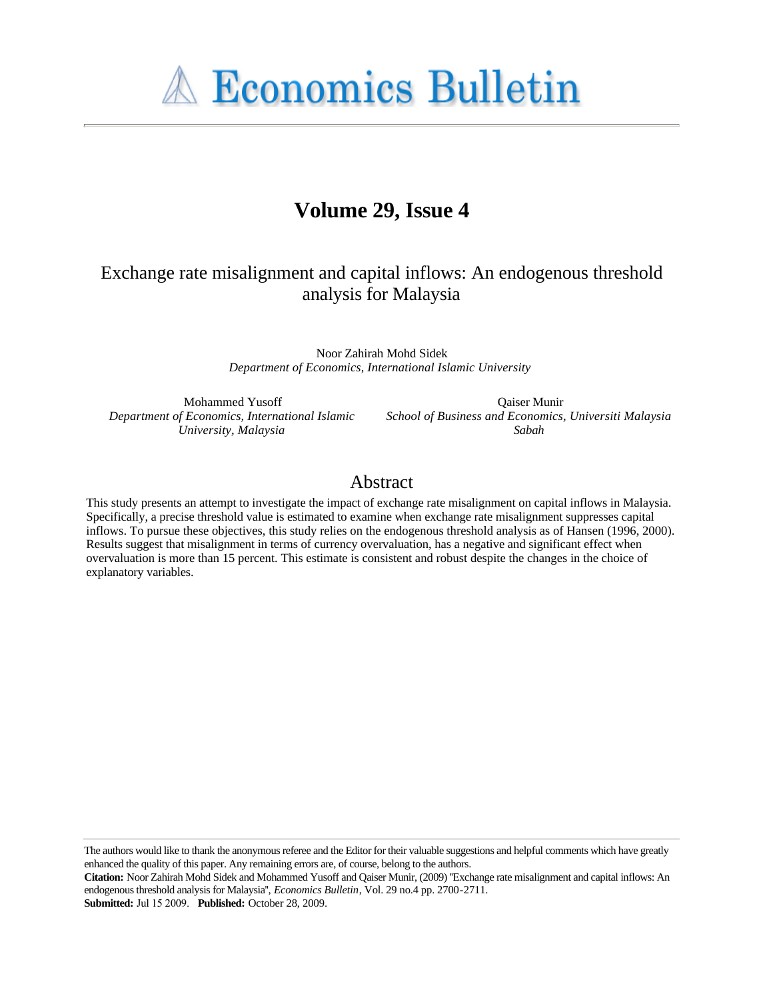**A Economics Bulletin** 

# **Volume 29, Issue 4**

## Exchange rate misalignment and capital inflows: An endogenous threshold analysis for Malaysia

Noor Zahirah Mohd Sidek *Department of Economics, International Islamic University*

Mohammed Yusoff *Department of Economics, International Islamic University, Malaysia*

Qaiser Munir *School of Business and Economics, Universiti Malaysia Sabah*

## Abstract

This study presents an attempt to investigate the impact of exchange rate misalignment on capital inflows in Malaysia. Specifically, a precise threshold value is estimated to examine when exchange rate misalignment suppresses capital inflows. To pursue these objectives, this study relies on the endogenous threshold analysis as of Hansen (1996, 2000). Results suggest that misalignment in terms of currency overvaluation, has a negative and significant effect when overvaluation is more than 15 percent. This estimate is consistent and robust despite the changes in the choice of explanatory variables.

The authors would like to thank the anonymous referee and the Editor for their valuable suggestions and helpful comments which have greatly enhanced the quality of this paper. Any remaining errors are, of course, belong to the authors.

**Citation:** Noor Zahirah Mohd Sidek and Mohammed Yusoff and Qaiser Munir, (2009) ''Exchange rate misalignment and capital inflows: An endogenous threshold analysis for Malaysia'', *Economics Bulletin*, Vol. 29 no.4 pp. 2700-2711. **Submitted:** Jul 15 2009. **Published:** October 28, 2009.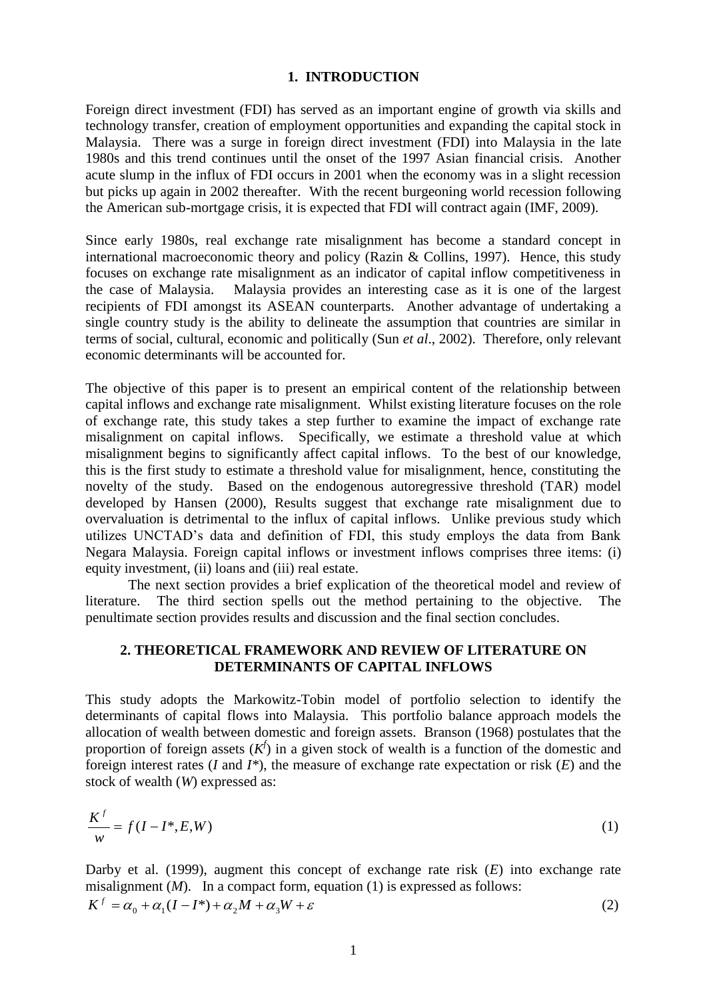#### **1. INTRODUCTION**

Foreign direct investment (FDI) has served as an important engine of growth via skills and technology transfer, creation of employment opportunities and expanding the capital stock in Malaysia. There was a surge in foreign direct investment (FDI) into Malaysia in the late 1980s and this trend continues until the onset of the 1997 Asian financial crisis. Another acute slump in the influx of FDI occurs in 2001 when the economy was in a slight recession but picks up again in 2002 thereafter. With the recent burgeoning world recession following the American sub-mortgage crisis, it is expected that FDI will contract again (IMF, 2009).

Since early 1980s, real exchange rate misalignment has become a standard concept in international macroeconomic theory and policy (Razin & Collins, 1997). Hence, this study focuses on exchange rate misalignment as an indicator of capital inflow competitiveness in the case of Malaysia. Malaysia provides an interesting case as it is one of the largest recipients of FDI amongst its ASEAN counterparts. Another advantage of undertaking a single country study is the ability to delineate the assumption that countries are similar in terms of social, cultural, economic and politically (Sun *et al*., 2002). Therefore, only relevant economic determinants will be accounted for.

The objective of this paper is to present an empirical content of the relationship between capital inflows and exchange rate misalignment. Whilst existing literature focuses on the role of exchange rate, this study takes a step further to examine the impact of exchange rate misalignment on capital inflows. Specifically, we estimate a threshold value at which misalignment begins to significantly affect capital inflows. To the best of our knowledge, this is the first study to estimate a threshold value for misalignment, hence, constituting the novelty of the study. Based on the endogenous autoregressive threshold (TAR) model developed by Hansen (2000), Results suggest that exchange rate misalignment due to overvaluation is detrimental to the influx of capital inflows. Unlike previous study which utilizes UNCTAD's data and definition of FDI, this study employs the data from Bank Negara Malaysia. Foreign capital inflows or investment inflows comprises three items: (i) equity investment, (ii) loans and (iii) real estate.

The next section provides a brief explication of the theoretical model and review of literature. The third section spells out the method pertaining to the objective. The penultimate section provides results and discussion and the final section concludes.

## **2. THEORETICAL FRAMEWORK AND REVIEW OF LITERATURE ON DETERMINANTS OF CAPITAL INFLOWS**

This study adopts the Markowitz-Tobin model of portfolio selection to identify the determinants of capital flows into Malaysia. This portfolio balance approach models the allocation of wealth between domestic and foreign assets. Branson (1968) postulates that the proportion of foreign assets  $(K^f)$  in a given stock of wealth is a function of the domestic and foreign interest rates (*I* and *I\**), the measure of exchange rate expectation or risk (*E*) and the stock of wealth (*W*) expressed as:

$$
\frac{K^f}{w} = f(I - I^*, E, W) \tag{1}
$$

Darby et al. (1999), augment this concept of exchange rate risk (*E*) into exchange rate misalignment (*M*). In a compact form, equation (1) is expressed as follows:  $K^f = \alpha_0 + \alpha_1 (I - I^*) + \alpha_2 M + \alpha_3 W + \varepsilon$  (2)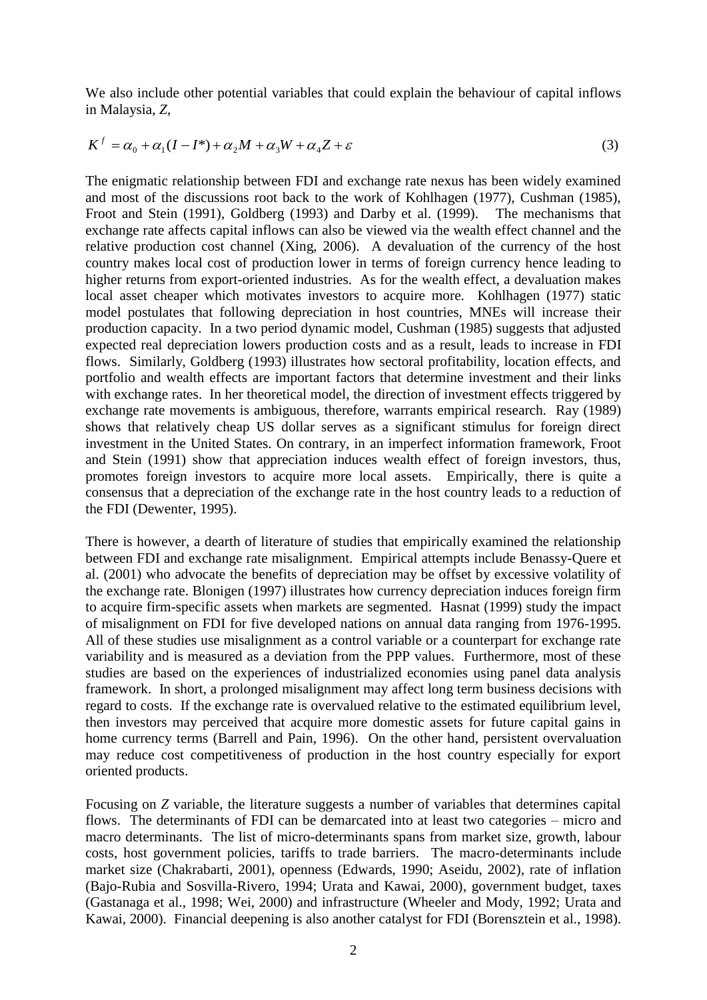We also include other potential variables that could explain the behaviour of capital inflows in Malaysia, *Z*,

$$
K^f = \alpha_0 + \alpha_1 (I - I^*) + \alpha_2 M + \alpha_3 W + \alpha_4 Z + \varepsilon
$$
\n(3)

The enigmatic relationship between FDI and exchange rate nexus has been widely examined and most of the discussions root back to the work of Kohlhagen (1977), Cushman (1985), Froot and Stein (1991), Goldberg (1993) and Darby et al. (1999). The mechanisms that exchange rate affects capital inflows can also be viewed via the wealth effect channel and the relative production cost channel (Xing, 2006). A devaluation of the currency of the host country makes local cost of production lower in terms of foreign currency hence leading to higher returns from export-oriented industries. As for the wealth effect, a devaluation makes local asset cheaper which motivates investors to acquire more. Kohlhagen (1977) static model postulates that following depreciation in host countries, MNEs will increase their production capacity. In a two period dynamic model, Cushman (1985) suggests that adjusted expected real depreciation lowers production costs and as a result, leads to increase in FDI flows. Similarly, Goldberg (1993) illustrates how sectoral profitability, location effects, and portfolio and wealth effects are important factors that determine investment and their links with exchange rates. In her theoretical model, the direction of investment effects triggered by exchange rate movements is ambiguous, therefore, warrants empirical research. Ray (1989) shows that relatively cheap US dollar serves as a significant stimulus for foreign direct investment in the United States. On contrary, in an imperfect information framework, Froot and Stein (1991) show that appreciation induces wealth effect of foreign investors, thus, promotes foreign investors to acquire more local assets. Empirically, there is quite a consensus that a depreciation of the exchange rate in the host country leads to a reduction of the FDI (Dewenter, 1995).

There is however, a dearth of literature of studies that empirically examined the relationship between FDI and exchange rate misalignment. Empirical attempts include Benassy-Quere et al. (2001) who advocate the benefits of depreciation may be offset by excessive volatility of the exchange rate. Blonigen (1997) illustrates how currency depreciation induces foreign firm to acquire firm-specific assets when markets are segmented. Hasnat (1999) study the impact of misalignment on FDI for five developed nations on annual data ranging from 1976-1995. All of these studies use misalignment as a control variable or a counterpart for exchange rate variability and is measured as a deviation from the PPP values. Furthermore, most of these studies are based on the experiences of industrialized economies using panel data analysis framework. In short, a prolonged misalignment may affect long term business decisions with regard to costs. If the exchange rate is overvalued relative to the estimated equilibrium level, then investors may perceived that acquire more domestic assets for future capital gains in home currency terms (Barrell and Pain, 1996). On the other hand, persistent overvaluation may reduce cost competitiveness of production in the host country especially for export oriented products.

Focusing on *Z* variable, the literature suggests a number of variables that determines capital flows. The determinants of FDI can be demarcated into at least two categories – micro and macro determinants. The list of micro-determinants spans from market size, growth, labour costs, host government policies, tariffs to trade barriers. The macro-determinants include market size (Chakrabarti, 2001), openness (Edwards, 1990; Aseidu, 2002), rate of inflation (Bajo-Rubia and Sosvilla-Rivero, 1994; Urata and Kawai, 2000), government budget, taxes (Gastanaga et al., 1998; Wei, 2000) and infrastructure (Wheeler and Mody, 1992; Urata and Kawai, 2000). Financial deepening is also another catalyst for FDI (Borensztein et al., 1998).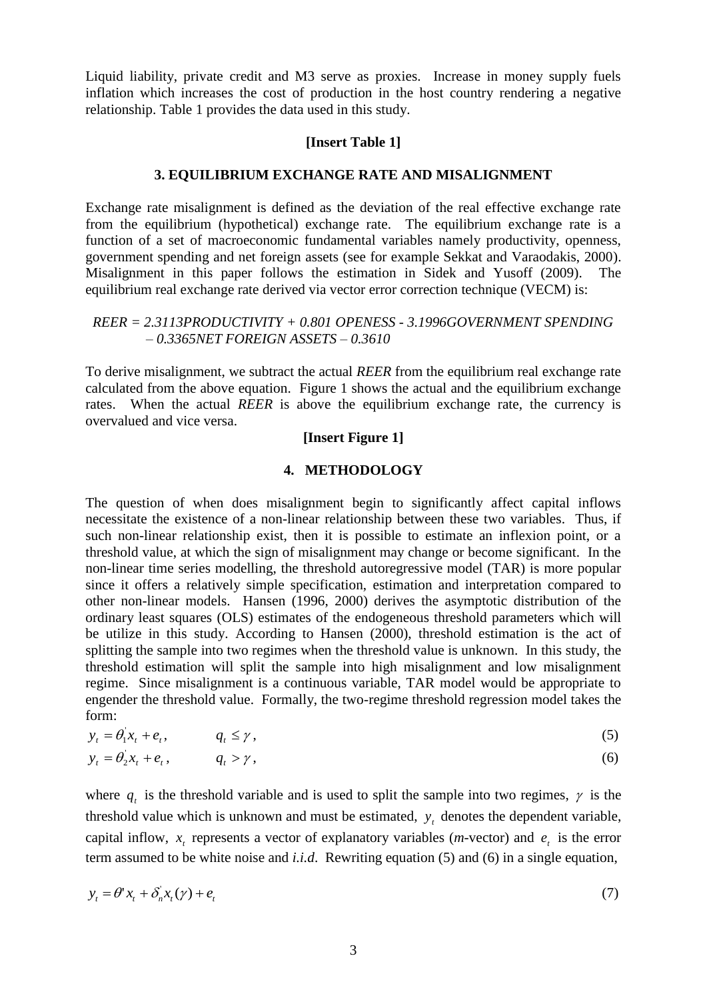Liquid liability, private credit and M3 serve as proxies. Increase in money supply fuels inflation which increases the cost of production in the host country rendering a negative relationship. Table 1 provides the data used in this study.

#### **[Insert Table 1]**

## **3. EQUILIBRIUM EXCHANGE RATE AND MISALIGNMENT**

Exchange rate misalignment is defined as the deviation of the real effective exchange rate from the equilibrium (hypothetical) exchange rate. The equilibrium exchange rate is a function of a set of macroeconomic fundamental variables namely productivity, openness, government spending and net foreign assets (see for example Sekkat and Varaodakis, 2000). Misalignment in this paper follows the estimation in Sidek and Yusoff (2009). The equilibrium real exchange rate derived via vector error correction technique (VECM) is:

## *REER = 2.3113PRODUCTIVITY + 0.801 OPENESS - 3.1996GOVERNMENT SPENDING – 0.3365NET FOREIGN ASSETS – 0.3610*

To derive misalignment, we subtract the actual *REER* from the equilibrium real exchange rate calculated from the above equation. Figure 1 shows the actual and the equilibrium exchange rates. When the actual *REER* is above the equilibrium exchange rate, the currency is overvalued and vice versa.

## **[Insert Figure 1]**

#### **4. METHODOLOGY**

The question of when does misalignment begin to significantly affect capital inflows necessitate the existence of a non-linear relationship between these two variables. Thus, if such non-linear relationship exist, then it is possible to estimate an inflexion point, or a threshold value, at which the sign of misalignment may change or become significant. In the non-linear time series modelling, the threshold autoregressive model (TAR) is more popular since it offers a relatively simple specification, estimation and interpretation compared to other non-linear models. Hansen (1996, 2000) derives the asymptotic distribution of the ordinary least squares (OLS) estimates of the endogeneous threshold parameters which will be utilize in this study. According to Hansen (2000), threshold estimation is the act of splitting the sample into two regimes when the threshold value is unknown. In this study, the threshold estimation will split the sample into high misalignment and low misalignment regime. Since misalignment is a continuous variable, TAR model would be appropriate to engender the threshold value. Formally, the two-regime threshold regression model takes the form:

$$
y_t = \theta_1^{\prime} x_t + e_t, \qquad q_t \le \gamma, \qquad (5)
$$

$$
y_t = \theta_2 x_t + e_t, \qquad q_t > \gamma, \qquad (6)
$$

where  $q_t$  is the threshold variable and is used to split the sample into two regimes,  $\gamma$  is the threshold value which is unknown and must be estimated,  $y_t$  denotes the dependent variable, capital inflow,  $x_t$  represents a vector of explanatory variables (*m*-vector) and  $e_t$  is the error term assumed to be white noise and *i.i.d*. Rewriting equation (5) and (6) in a single equation,

$$
y_t = \theta^t x_t + \delta_n^t x_t(\gamma) + e_t \tag{7}
$$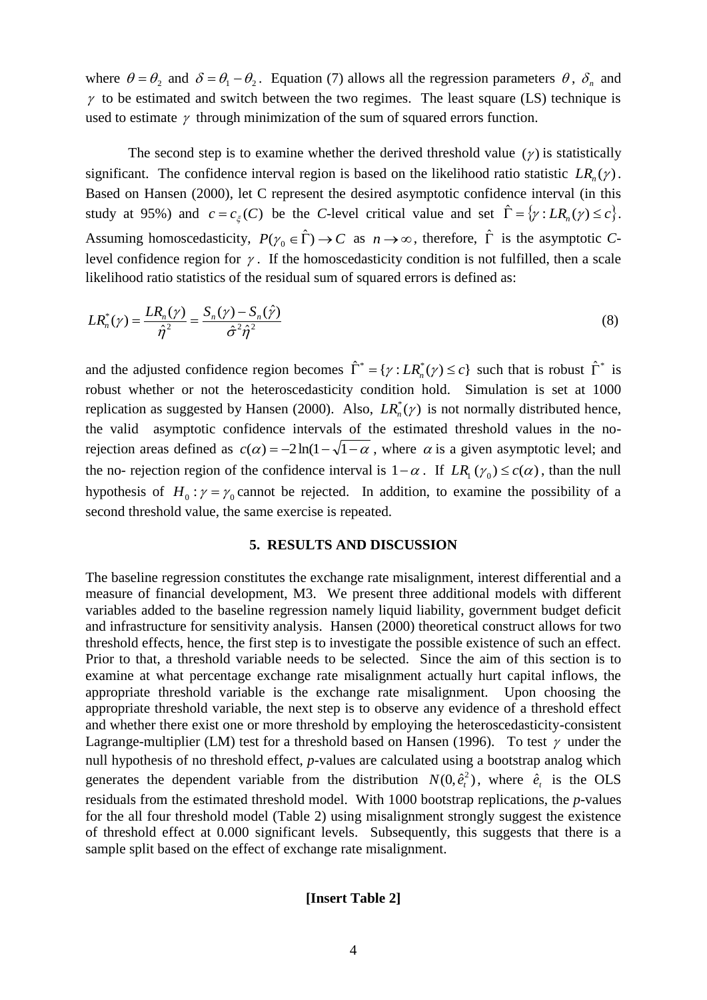where  $\theta = \theta_2$  and  $\delta = \theta_1 - \theta_2$ . Equation (7) allows all the regression parameters  $\theta$ ,  $\delta_n$  and  $\gamma$  to be estimated and switch between the two regimes. The least square (LS) technique is used to estimate  $\gamma$  through minimization of the sum of squared errors function.

The second step is to examine whether the derived threshold value  $(\gamma)$  is statistically significant. The confidence interval region is based on the likelihood ratio statistic  $LR_n(\gamma)$ . Based on Hansen (2000), let C represent the desired asymptotic confidence interval (in this study at 95%) and  $c = c_{\xi}(C)$  be the *C*-level critical value and set  $\hat{\Gamma} = \{ \gamma : LR_n(\gamma) \le c \}.$ Assuming homoscedasticity,  $P(\gamma_0 \in \hat{\Gamma}) \to C$  as  $n \to \infty$ , therefore,  $\hat{\Gamma}$  is the asymptotic *C*level confidence region for  $\gamma$ . If the homoscedasticity condition is not fulfilled, then a scale likelihood ratio statistics of the residual sum of squared errors is defined as:

$$
LR_n^*(\gamma) = \frac{LR_n(\gamma)}{\hat{\eta}^2} = \frac{S_n(\gamma) - S_n(\hat{\gamma})}{\hat{\sigma}^2 \hat{\eta}^2}
$$
\n(8)

and the adjusted confidence region becomes  $\hat{\Gamma}^* = \{ \gamma : LR_n^*(\gamma) \le c \}$  such that is robust  $\hat{\Gamma}^*$  is robust whether or not the heteroscedasticity condition hold. Simulation is set at 1000 replication as suggested by Hansen (2000). Also,  $LR_n^*(\gamma)$  is not normally distributed hence, the valid asymptotic confidence intervals of the estimated threshold values in the norejection areas defined as  $c(\alpha) = -2\ln(1-\sqrt{1-\alpha})$ , where  $\alpha$  is a given asymptotic level; and the no- rejection region of the confidence interval is  $1 - \alpha$ . If  $LR_1(\gamma_0) \leq c(\alpha)$ , than the null hypothesis of  $H_0: \gamma = \gamma_0$  cannot be rejected. In addition, to examine the possibility of a second threshold value, the same exercise is repeated.

## **5. RESULTS AND DISCUSSION**

The baseline regression constitutes the exchange rate misalignment, interest differential and a measure of financial development, M3. We present three additional models with different variables added to the baseline regression namely liquid liability, government budget deficit and infrastructure for sensitivity analysis. Hansen (2000) theoretical construct allows for two threshold effects, hence, the first step is to investigate the possible existence of such an effect. Prior to that, a threshold variable needs to be selected. Since the aim of this section is to examine at what percentage exchange rate misalignment actually hurt capital inflows, the appropriate threshold variable is the exchange rate misalignment. Upon choosing the appropriate threshold variable, the next step is to observe any evidence of a threshold effect and whether there exist one or more threshold by employing the heteroscedasticity-consistent Lagrange-multiplier (LM) test for a threshold based on Hansen (1996). To test  $\gamma$  under the null hypothesis of no threshold effect, *p*-values are calculated using a bootstrap analog which generates the dependent variable from the distribution  $N(0, \hat{e}_i^2)$ , where  $\hat{e}_i$  is the OLS residuals from the estimated threshold model. With 1000 bootstrap replications, the *p*-values for the all four threshold model (Table 2) using misalignment strongly suggest the existence of threshold effect at 0.000 significant levels. Subsequently, this suggests that there is a sample split based on the effect of exchange rate misalignment.

## **[Insert Table 2]**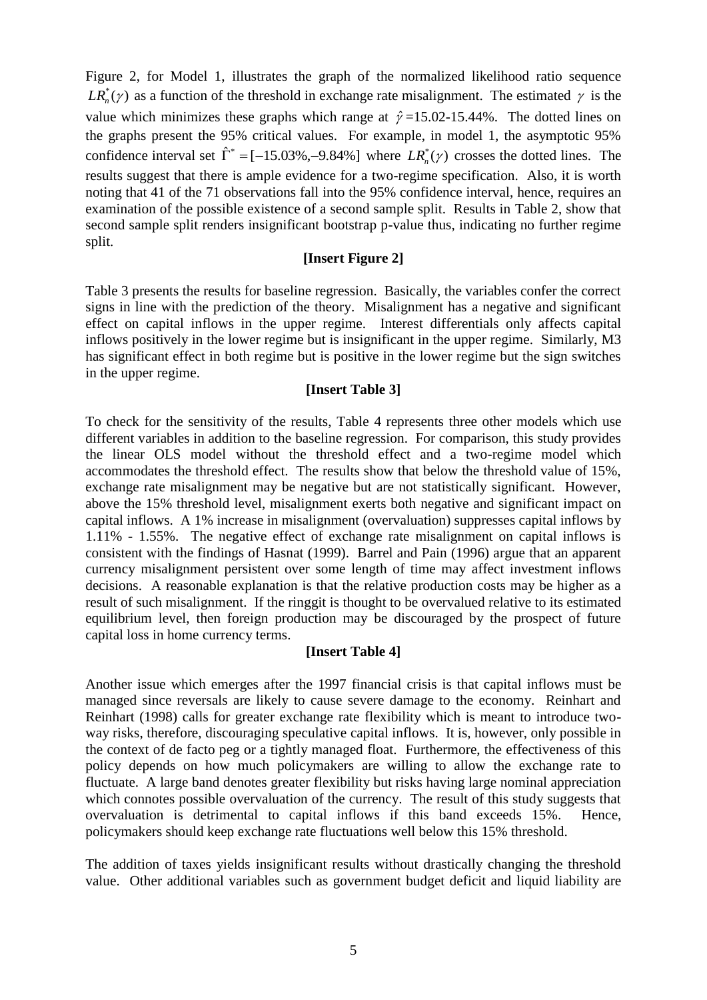Figure 2, for Model 1, illustrates the graph of the normalized likelihood ratio sequence  $LR_n^*(\gamma)$  as a function of the threshold in exchange rate misalignment. The estimated  $\gamma$  is the value which minimizes these graphs which range at  $\hat{\gamma}$  =15.02-15.44%. The dotted lines on the graphs present the 95% critical values. For example, in model 1, the asymptotic 95% confidence interval set  $\hat{\Gamma}^* = [-15.03\%, -9.84\%]$  where  $LR_n^*(\gamma)$  crosses the dotted lines. The results suggest that there is ample evidence for a two-regime specification. Also, it is worth noting that 41 of the 71 observations fall into the 95% confidence interval, hence, requires an examination of the possible existence of a second sample split. Results in Table 2, show that second sample split renders insignificant bootstrap p-value thus, indicating no further regime split.

## **[Insert Figure 2]**

Table 3 presents the results for baseline regression. Basically, the variables confer the correct signs in line with the prediction of the theory. Misalignment has a negative and significant effect on capital inflows in the upper regime. Interest differentials only affects capital inflows positively in the lower regime but is insignificant in the upper regime. Similarly, M3 has significant effect in both regime but is positive in the lower regime but the sign switches in the upper regime.

## **[Insert Table 3]**

To check for the sensitivity of the results, Table 4 represents three other models which use different variables in addition to the baseline regression. For comparison, this study provides the linear OLS model without the threshold effect and a two-regime model which accommodates the threshold effect. The results show that below the threshold value of 15%, exchange rate misalignment may be negative but are not statistically significant. However, above the 15% threshold level, misalignment exerts both negative and significant impact on capital inflows. A 1% increase in misalignment (overvaluation) suppresses capital inflows by 1.11% - 1.55%. The negative effect of exchange rate misalignment on capital inflows is consistent with the findings of Hasnat (1999). Barrel and Pain (1996) argue that an apparent currency misalignment persistent over some length of time may affect investment inflows decisions. A reasonable explanation is that the relative production costs may be higher as a result of such misalignment. If the ringgit is thought to be overvalued relative to its estimated equilibrium level, then foreign production may be discouraged by the prospect of future capital loss in home currency terms.

## **[Insert Table 4]**

Another issue which emerges after the 1997 financial crisis is that capital inflows must be managed since reversals are likely to cause severe damage to the economy. Reinhart and Reinhart (1998) calls for greater exchange rate flexibility which is meant to introduce twoway risks, therefore, discouraging speculative capital inflows. It is, however, only possible in the context of de facto peg or a tightly managed float. Furthermore, the effectiveness of this policy depends on how much policymakers are willing to allow the exchange rate to fluctuate. A large band denotes greater flexibility but risks having large nominal appreciation which connotes possible overvaluation of the currency. The result of this study suggests that overvaluation is detrimental to capital inflows if this band exceeds 15%. Hence, policymakers should keep exchange rate fluctuations well below this 15% threshold.

The addition of taxes yields insignificant results without drastically changing the threshold value. Other additional variables such as government budget deficit and liquid liability are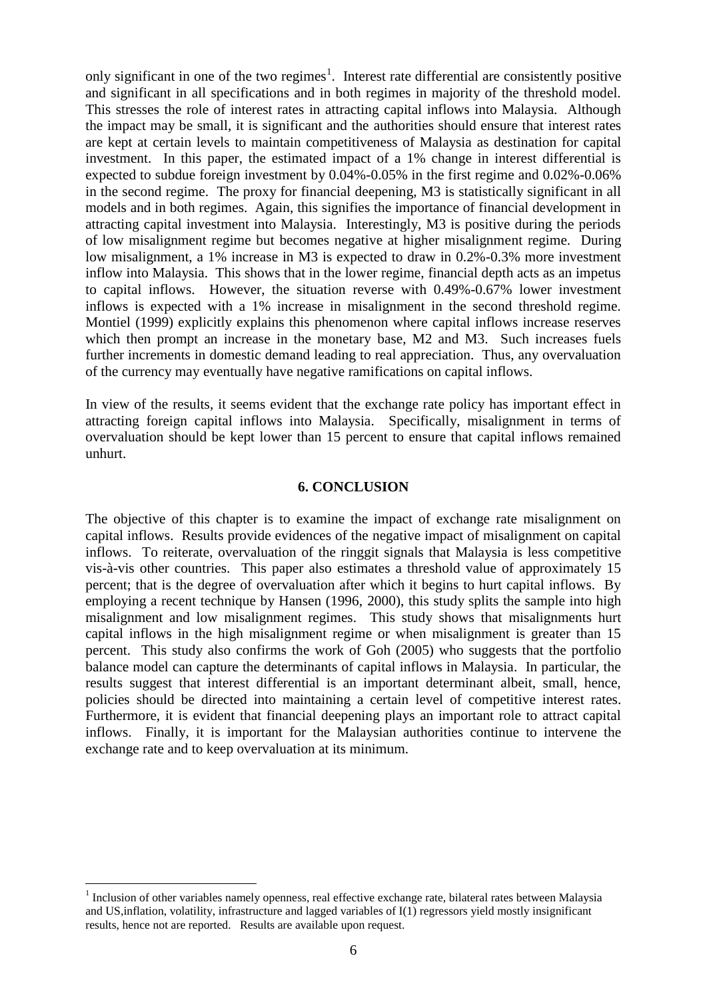only significant in one of the two regimes<sup>1</sup>. Interest rate differential are consistently positive and significant in all specifications and in both regimes in majority of the threshold model. This stresses the role of interest rates in attracting capital inflows into Malaysia. Although the impact may be small, it is significant and the authorities should ensure that interest rates are kept at certain levels to maintain competitiveness of Malaysia as destination for capital investment. In this paper, the estimated impact of a 1% change in interest differential is expected to subdue foreign investment by 0.04%-0.05% in the first regime and 0.02%-0.06% in the second regime. The proxy for financial deepening, M3 is statistically significant in all models and in both regimes. Again, this signifies the importance of financial development in attracting capital investment into Malaysia. Interestingly, M3 is positive during the periods of low misalignment regime but becomes negative at higher misalignment regime. During low misalignment, a 1% increase in M3 is expected to draw in 0.2%-0.3% more investment inflow into Malaysia. This shows that in the lower regime, financial depth acts as an impetus to capital inflows. However, the situation reverse with 0.49%-0.67% lower investment inflows is expected with a 1% increase in misalignment in the second threshold regime. Montiel (1999) explicitly explains this phenomenon where capital inflows increase reserves which then prompt an increase in the monetary base, M2 and M3. Such increases fuels further increments in domestic demand leading to real appreciation. Thus, any overvaluation of the currency may eventually have negative ramifications on capital inflows.

In view of the results, it seems evident that the exchange rate policy has important effect in attracting foreign capital inflows into Malaysia. Specifically, misalignment in terms of overvaluation should be kept lower than 15 percent to ensure that capital inflows remained unhurt.

## **6. CONCLUSION**

The objective of this chapter is to examine the impact of exchange rate misalignment on capital inflows. Results provide evidences of the negative impact of misalignment on capital inflows. To reiterate, overvaluation of the ringgit signals that Malaysia is less competitive vis-à-vis other countries. This paper also estimates a threshold value of approximately 15 percent; that is the degree of overvaluation after which it begins to hurt capital inflows. By employing a recent technique by Hansen (1996, 2000), this study splits the sample into high misalignment and low misalignment regimes. This study shows that misalignments hurt capital inflows in the high misalignment regime or when misalignment is greater than 15 percent. This study also confirms the work of Goh (2005) who suggests that the portfolio balance model can capture the determinants of capital inflows in Malaysia. In particular, the results suggest that interest differential is an important determinant albeit, small, hence, policies should be directed into maintaining a certain level of competitive interest rates. Furthermore, it is evident that financial deepening plays an important role to attract capital inflows. Finally, it is important for the Malaysian authorities continue to intervene the exchange rate and to keep overvaluation at its minimum.

1

<sup>&</sup>lt;sup>1</sup> Inclusion of other variables namely openness, real effective exchange rate, bilateral rates between Malaysia and US,inflation, volatility, infrastructure and lagged variables of I(1) regressors yield mostly insignificant results, hence not are reported. Results are available upon request.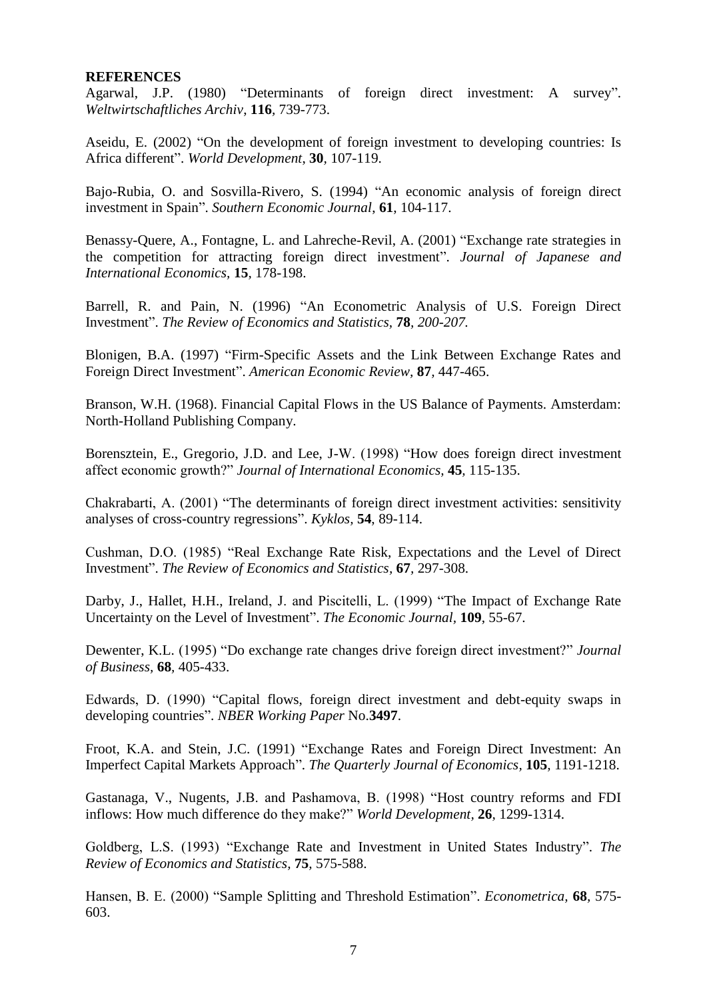## **REFERENCES**

Agarwal, J.P. (1980) "Determinants of foreign direct investment: A survey". *Weltwirtschaftliches Archiv*, **116***,* 739-773.

Aseidu, E. (2002) "On the development of foreign investment to developing countries: Is Africa different". *World Development*, **30***,* 107-119.

Bajo-Rubia, O. and Sosvilla-Rivero, S. (1994) "An economic analysis of foreign direct investment in Spain". *Southern Economic Journal*, **61**, 104-117.

Benassy-Quere, A., Fontagne, L. and Lahreche-Revil, A. (2001) "Exchange rate strategies in the competition for attracting foreign direct investment". *Journal of Japanese and International Economics,* **15***,* 178-198.

Barrell, R. and Pain, N. (1996) "An Econometric Analysis of U.S. Foreign Direct Investment". *The Review of Economics and Statistics,* **78***, 200-207.*

Blonigen, B.A. (1997) "Firm-Specific Assets and the Link Between Exchange Rates and Foreign Direct Investment". *American Economic Review,* **87***,* 447-465.

Branson, W.H. (1968). Financial Capital Flows in the US Balance of Payments. Amsterdam: North-Holland Publishing Company.

Borensztein, E., Gregorio, J.D. and Lee, J-W. (1998) "How does foreign direct investment affect economic growth?" *Journal of International Economics,* **45***,* 115-135.

Chakrabarti, A. (2001) "The determinants of foreign direct investment activities: sensitivity analyses of cross-country regressions". *Kyklos,* **54**, 89-114.

Cushman, D.O. (1985) "Real Exchange Rate Risk, Expectations and the Level of Direct Investment". *The Review of Economics and Statistics,* **67***,* 297-308.

Darby, J., Hallet, H.H., Ireland, J. and Piscitelli, L. (1999) "The Impact of Exchange Rate Uncertainty on the Level of Investment". *The Economic Journal,* **109**, 55-67.

Dewenter, K.L. (1995) "Do exchange rate changes drive foreign direct investment?" *Journal of Business,* **68***,* 405-433.

Edwards, D. (1990) "Capital flows, foreign direct investment and debt-equity swaps in developing countries". *NBER Working Paper* No.**3497**.

Froot, K.A. and Stein, J.C. (1991) "Exchange Rates and Foreign Direct Investment: An Imperfect Capital Markets Approach". *The Quarterly Journal of Economics,* **105***,* 1191-1218.

Gastanaga, V., Nugents, J.B. and Pashamova, B. (1998) "Host country reforms and FDI inflows: How much difference do they make?" *World Development,* **26***,* 1299-1314.

Goldberg, L.S. (1993) "Exchange Rate and Investment in United States Industry". *The Review of Economics and Statistics,* **75***,* 575-588.

Hansen, B. E. (2000) "Sample Splitting and Threshold Estimation". *Econometrica,* **68***,* 575- 603.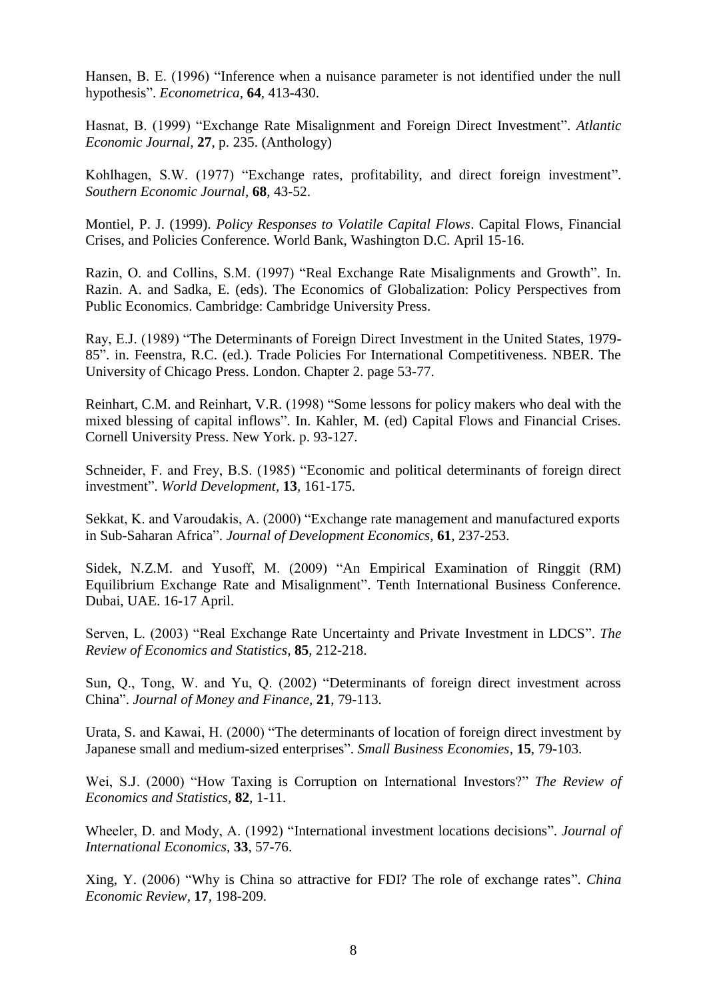Hansen, B. E. (1996) "Inference when a nuisance parameter is not identified under the null hypothesis". *Econometrica,* **64***,* 413-430.

Hasnat, B. (1999) "Exchange Rate Misalignment and Foreign Direct Investment". *Atlantic Economic Journal,* **27***,* p. 235. (Anthology)

Kohlhagen, S.W. (1977) "Exchange rates, profitability, and direct foreign investment". *Southern Economic Journal,* **68***,* 43-52.

Montiel, P. J. (1999). *Policy Responses to Volatile Capital Flows*. Capital Flows, Financial Crises, and Policies Conference. World Bank, Washington D.C. April 15-16.

Razin, O. and Collins, S.M. (1997) "Real Exchange Rate Misalignments and Growth". In. Razin. A. and Sadka, E. (eds). The Economics of Globalization: Policy Perspectives from Public Economics. Cambridge: Cambridge University Press.

Ray, E.J. (1989) "The Determinants of Foreign Direct Investment in the United States, 1979- 85". in. Feenstra, R.C. (ed.). Trade Policies For International Competitiveness. NBER. The University of Chicago Press. London. Chapter 2. page 53-77.

Reinhart, C.M. and Reinhart, V.R. (1998) "Some lessons for policy makers who deal with the mixed blessing of capital inflows". In. Kahler, M. (ed) Capital Flows and Financial Crises. Cornell University Press. New York. p. 93-127.

Schneider, F. and Frey, B.S. (1985) "Economic and political determinants of foreign direct investment". *World Development,* **13***,* 161-175.

Sekkat, K. and Varoudakis, A. (2000) "Exchange rate management and manufactured exports in Sub-Saharan Africa". *Journal of Development Economics,* **61**, 237-253.

Sidek, N.Z.M. and Yusoff, M. (2009) "An Empirical Examination of Ringgit (RM) Equilibrium Exchange Rate and Misalignment". Tenth International Business Conference. Dubai, UAE. 16-17 April.

Serven, L. (2003) "Real Exchange Rate Uncertainty and Private Investment in LDCS". *The Review of Economics and Statistics,* **85***,* 212-218.

Sun, Q., Tong, W. and Yu, Q. (2002) "Determinants of foreign direct investment across China". *Journal of Money and Finance,* **21**, 79-113.

Urata, S. and Kawai, H. (2000) "The determinants of location of foreign direct investment by Japanese small and medium-sized enterprises". *Small Business Economies,* **15**, 79-103.

Wei, S.J. (2000) "How Taxing is Corruption on International Investors?" *The Review of Economics and Statistics,* **82***,* 1-11.

Wheeler, D. and Mody, A. (1992) "International investment locations decisions". *Journal of International Economics,* **33**, 57-76.

Xing, Y. (2006) "Why is China so attractive for FDI? The role of exchange rates". *China Economic Review,* **17***,* 198-209.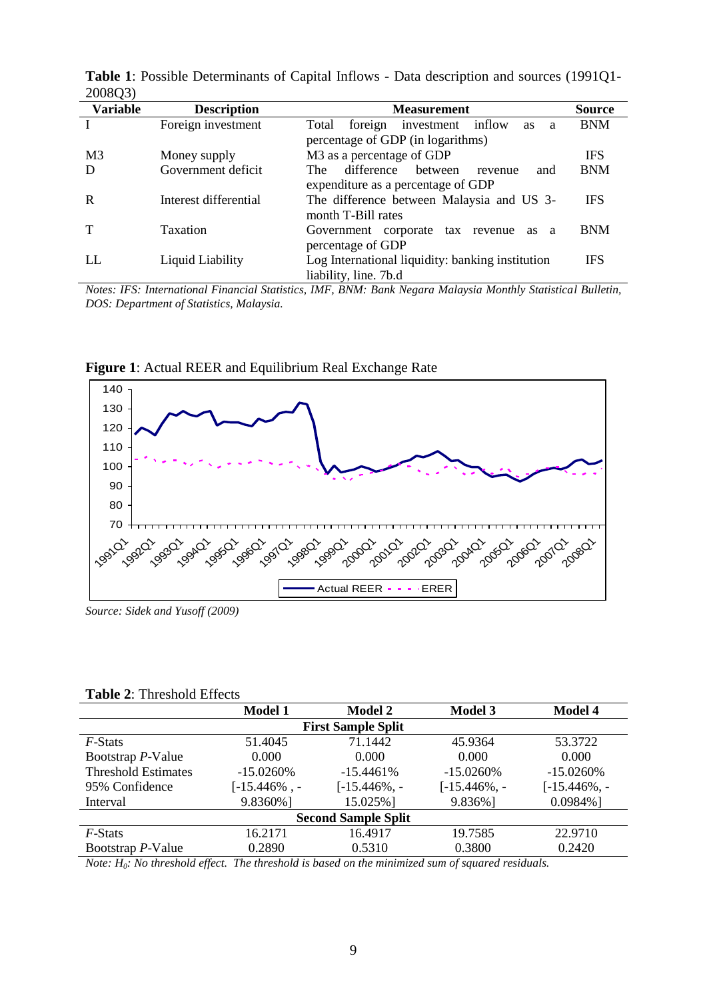| 2000QJ          |                       |                                                         |               |
|-----------------|-----------------------|---------------------------------------------------------|---------------|
| <b>Variable</b> | <b>Description</b>    | <b>Measurement</b>                                      | <b>Source</b> |
|                 | Foreign investment    | investment inflow<br>Total<br>foreign<br><b>as</b><br>a | <b>BNM</b>    |
|                 |                       | percentage of GDP (in logarithms)                       |               |
| M <sub>3</sub>  | Money supply          | M <sub>3</sub> as a percentage of GDP                   | <b>IFS</b>    |
| D               | Government deficit    | difference<br>between<br>and<br>The.<br>revenue         | <b>BNM</b>    |
|                 |                       | expenditure as a percentage of GDP                      |               |
| R               | Interest differential | The difference between Malaysia and US 3-               | <b>IFS</b>    |
|                 |                       | month T-Bill rates                                      |               |
|                 | Taxation              | Government corporate tax revenue<br>as<br><sub>a</sub>  | <b>BNM</b>    |
|                 |                       | percentage of GDP                                       |               |
| LL              | Liquid Liability      | Log International liquidity: banking institution        | <b>IFS</b>    |
|                 |                       | liability, line. 7b.d                                   |               |

**Table 1**: Possible Determinants of Capital Inflows - Data description and sources (1991Q1- 200803)

*Notes: IFS: International Financial Statistics, IMF, BNM: Bank Negara Malaysia Monthly Statistical Bulletin, DOS: Department of Statistics, Malaysia.*



**Figure 1**: Actual REER and Equilibrium Real Exchange Rate

#### **Table 2**: Threshold Effects

|                            | <b>Model 1</b> | <b>Model 2</b>            | <b>Model 3</b> | <b>Model 4</b> |  |
|----------------------------|----------------|---------------------------|----------------|----------------|--|
|                            |                | <b>First Sample Split</b> |                |                |  |
| <i>F</i> -Stats            | 51.4045        | 71.1442                   | 45.9364        | 53.3722        |  |
| Bootstrap P-Value          | 0.000          | 0.000                     | 0.000          | 0.000          |  |
| <b>Threshold Estimates</b> | $-15.0260\%$   | $-15.4461%$               | $-15.0260\%$   | $-15.0260\%$   |  |
| 95% Confidence             | $[-15.446\%$ . | $[-15.446\%,-$            | $[-15.446\%,-$ | $[-15.446\%,-$ |  |
| Interval                   | 9.8360%]       | 15.025%]                  | 9.836%]        | $0.0984\%$ ]   |  |
| <b>Second Sample Split</b> |                |                           |                |                |  |
| <i>F</i> -Stats            | 16.2171        | 16.4917                   | 19.7585        | 22.9710        |  |
| Bootstrap P-Value          | 0.2890         | 0.5310                    | 0.3800         | 0.2420         |  |

*Note: H0: No threshold effect. The threshold is based on the minimized sum of squared residuals.*

*Source: Sidek and Yusoff (2009)*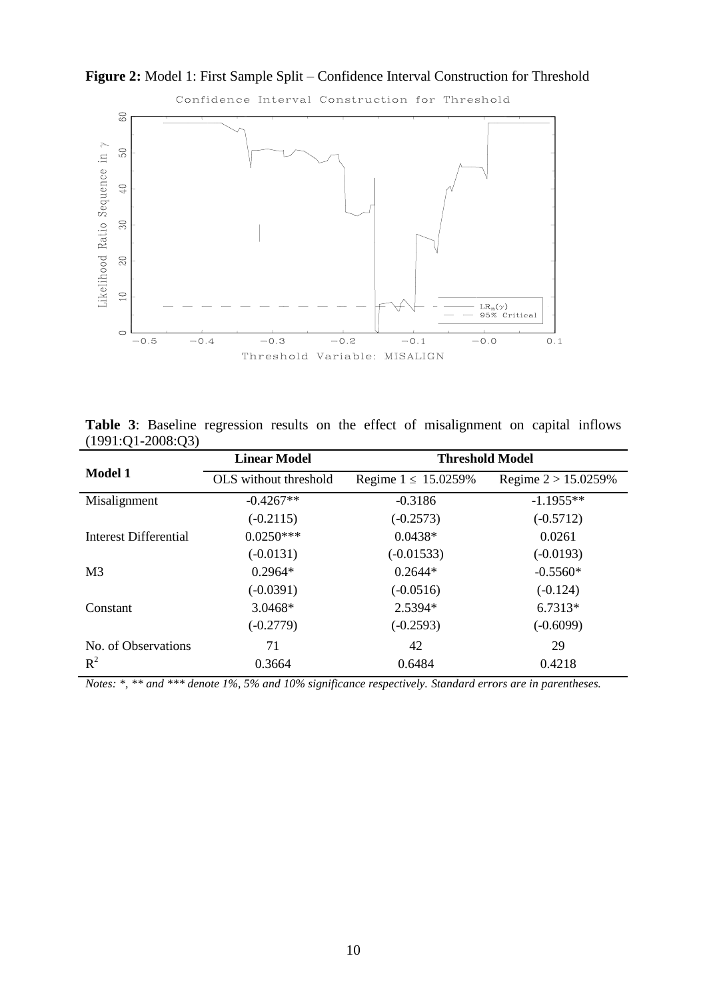

**Figure 2:** Model 1: First Sample Split – Confidence Interval Construction for Threshold

**Table 3**: Baseline regression results on the effect of misalignment on capital inflows (1991:Q1-2008:Q3)

|                       | <b>Linear Model</b>   | <b>Threshold Model</b>   |                        |
|-----------------------|-----------------------|--------------------------|------------------------|
| <b>Model 1</b>        | OLS without threshold | Regime $1 \le 15.0259\%$ | Regime $2 > 15.0259\%$ |
| Misalignment          | $-0.4267**$           | $-0.3186$                | $-1.1955**$            |
|                       | $(-0.2115)$           | $(-0.2573)$              | $(-0.5712)$            |
| Interest Differential | $0.0250***$           | $0.0438*$                | 0.0261                 |
|                       | $(-0.0131)$           | $(-0.01533)$             | $(-0.0193)$            |
| M <sub>3</sub>        | $0.2964*$             | $0.2644*$                | $-0.5560*$             |
|                       | $(-0.0391)$           | $(-0.0516)$              | $(-0.124)$             |
| Constant              | 3.0468*               | 2.5394*                  | $6.7313*$              |
|                       | $(-0.2779)$           | $(-0.2593)$              | $(-0.6099)$            |
| No. of Observations   | 71                    | 42                       | 29                     |
| $R^2$                 | 0.3664                | 0.6484                   | 0.4218                 |

*Notes: \*, \*\* and \*\*\* denote 1%, 5% and 10% significance respectively. Standard errors are in parentheses.*